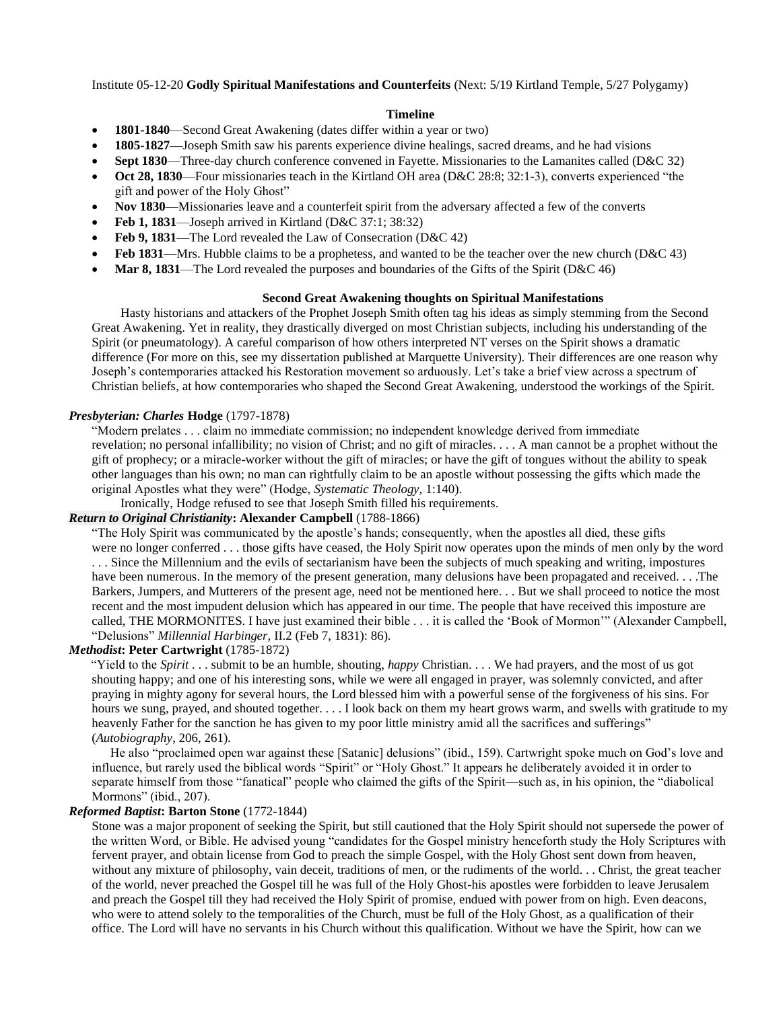Institute 05-12-20 **Godly Spiritual Manifestations and Counterfeits** (Next: 5/19 Kirtland Temple, 5/27 Polygamy)

### **Timeline**

- **1801-1840**—Second Great Awakening (dates differ within a year or two)
- **1805-1827—**Joseph Smith saw his parents experience divine healings, sacred dreams, and he had visions
- **Sept 1830**—Three-day church conference convened in Fayette. Missionaries to the Lamanites called (D&C 32)
- **Oct 28, 1830**—Four missionaries teach in the Kirtland OH area (D&C 28:8; 32:1-3), converts experienced "the gift and power of the Holy Ghost"
- **Nov 1830**—Missionaries leave and a counterfeit spirit from the adversary affected a few of the converts
- **Feb 1, 1831**—Joseph arrived in Kirtland (D&C 37:1; 38:32)
- **Feb 9, 1831—The Lord revealed the Law of Consecration (D&C 42)**
- **Feb 1831—Mrs.** Hubble claims to be a prophetess, and wanted to be the teacher over the new church (D&C 43)
- **Mar 8, 1831**—The Lord revealed the purposes and boundaries of the Gifts of the Spirit (D&C 46)

#### **Second Great Awakening thoughts on Spiritual Manifestations**

 Hasty historians and attackers of the Prophet Joseph Smith often tag his ideas as simply stemming from the Second Great Awakening. Yet in reality, they drastically diverged on most Christian subjects, including his understanding of the Spirit (or pneumatology). A careful comparison of how others interpreted NT verses on the Spirit shows a dramatic difference (For more on this, see my dissertation published at Marquette University). Their differences are one reason why Joseph's contemporaries attacked his Restoration movement so arduously. Let's take a brief view across a spectrum of Christian beliefs, at how contemporaries who shaped the Second Great Awakening, understood the workings of the Spirit.

### *Presbyterian: Charles* **Hodge** (1797-1878)

"Modern prelates . . . claim no immediate commission; no independent knowledge derived from immediate revelation; no personal infallibility; no vision of Christ; and no gift of miracles. . . . A man cannot be a prophet without the gift of prophecy; or a miracle-worker without the gift of miracles; or have the gift of tongues without the ability to speak other languages than his own; no man can rightfully claim to be an apostle without possessing the gifts which made the original Apostles what they were" (Hodge, *Systematic Theology,* 1:140).

Ironically, Hodge refused to see that Joseph Smith filled his requirements.

# *Return to Original Christianity***: Alexander Campbell** (1788-1866)

"The Holy Spirit was communicated by the apostle's hands; consequently, when the apostles all died, these gifts were no longer conferred . . . those gifts have ceased, the Holy Spirit now operates upon the minds of men only by the word . . . Since the Millennium and the evils of sectarianism have been the subjects of much speaking and writing, impostures have been numerous. In the memory of the present generation, many delusions have been propagated and received. . . .The Barkers, Jumpers, and Mutterers of the present age, need not be mentioned here. . . But we shall proceed to notice the most recent and the most impudent delusion which has appeared in our time. The people that have received this imposture are called, THE MORMONITES. I have just examined their bible . . . it is called the 'Book of Mormon'" (Alexander Campbell, "Delusions" *Millennial Harbinger,* II.2 (Feb 7, 1831): 86).

## *Methodist***: Peter Cartwright** (1785-1872)

 "Yield to the *Spirit* . . . submit to be an humble, shouting, *happy* Christian. . . . We had prayers, and the most of us got shouting happy; and one of his interesting sons, while we were all engaged in prayer, was solemnly convicted, and after praying in mighty agony for several hours, the Lord blessed him with a powerful sense of the forgiveness of his sins. For hours we sung, prayed, and shouted together. . . . I look back on them my heart grows warm, and swells with gratitude to my heavenly Father for the sanction he has given to my poor little ministry amid all the sacrifices and sufferings" (*Autobiography*, 206, 261).

 He also "proclaimed open war against these [Satanic] delusions" (ibid., 159). Cartwright spoke much on God's love and influence, but rarely used the biblical words "Spirit" or "Holy Ghost." It appears he deliberately avoided it in order to separate himself from those "fanatical" people who claimed the gifts of the Spirit—such as, in his opinion, the "diabolical Mormons" (ibid., 207).

### *Reformed Baptist***: Barton Stone** (1772-1844)

Stone was a major proponent of seeking the Spirit, but still cautioned that the Holy Spirit should not supersede the power of the written Word, or Bible. He advised young "candidates for the Gospel ministry henceforth study the Holy Scriptures with fervent prayer, and obtain license from God to preach the simple Gospel, with the Holy Ghost sent down from heaven, without any mixture of philosophy, vain deceit, traditions of men, or the rudiments of the world. . . Christ, the great teacher of the world, never preached the Gospel till he was full of the Holy Ghost-his apostles were forbidden to leave Jerusalem and preach the Gospel till they had received the Holy Spirit of promise, endued with power from on high. Even deacons, who were to attend solely to the temporalities of the Church, must be full of the Holy Ghost, as a qualification of their office. The Lord will have no servants in his Church without this qualification. Without we have the Spirit, how can we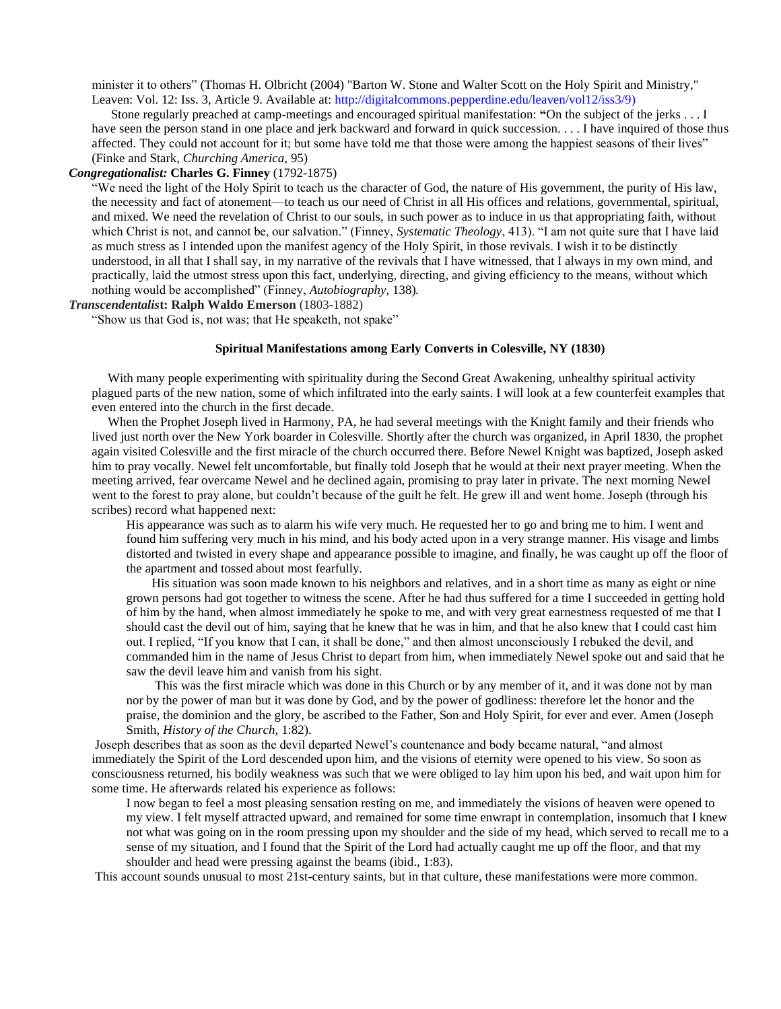minister it to others" (Thomas H. Olbricht (2004) "Barton W. Stone and Walter Scott on the Holy Spirit and Ministry," Leaven: Vol. 12: Iss. 3, Article 9. Available at: http://digitalcommons.pepperdine.edu/leaven/vol12/iss3/9)

 Stone regularly preached at camp-meetings and encouraged spiritual manifestation: **"**On the subject of the jerks . . . I have seen the person stand in one place and jerk backward and forward in quick succession. . . . I have inquired of those thus affected. They could not account for it; but some have told me that those were among the happiest seasons of their lives" (Finke and Stark, *Churching America,* 95)

# *Congregationalist:* **Charles G. Finney** (1792-1875)

"We need the light of the Holy Spirit to teach us the character of God, the nature of His government, the purity of His law, the necessity and fact of atonement—to teach us our need of Christ in all His offices and relations, governmental, spiritual, and mixed. We need the revelation of Christ to our souls, in such power as to induce in us that appropriating faith, without which Christ is not, and cannot be, our salvation." (Finney, *Systematic Theology*, 413). "I am not quite sure that I have laid as much stress as I intended upon the manifest agency of the Holy Spirit, in those revivals. I wish it to be distinctly understood, in all that I shall say, in my narrative of the revivals that I have witnessed, that I always in my own mind, and practically, laid the utmost stress upon this fact, underlying, directing, and giving efficiency to the means, without which nothing would be accomplished" (Finney, *Autobiography*, 138).

### *Transcendentalis***t: Ralph Waldo Emerson** (1803-1882)

"Show us that God is, not was; that He speaketh, not spake"

#### **Spiritual Manifestations among Early Converts in Colesville, NY (1830)**

 With many people experimenting with spirituality during the Second Great Awakening, unhealthy spiritual activity plagued parts of the new nation, some of which infiltrated into the early saints. I will look at a few counterfeit examples that even entered into the church in the first decade.

 When the Prophet Joseph lived in Harmony, PA, he had several meetings with the Knight family and their friends who lived just north over the New York boarder in Colesville. Shortly after the church was organized, in April 1830, the prophet again visited Colesville and the first miracle of the church occurred there. Before Newel Knight was baptized, Joseph asked him to pray vocally. Newel felt uncomfortable, but finally told Joseph that he would at their next prayer meeting. When the meeting arrived, fear overcame Newel and he declined again, promising to pray later in private. The next morning Newel went to the forest to pray alone, but couldn't because of the guilt he felt. He grew ill and went home. Joseph (through his scribes) record what happened next:

His appearance was such as to alarm his wife very much. He requested her to go and bring me to him. I went and found him suffering very much in his mind, and his body acted upon in a very strange manner. His visage and limbs distorted and twisted in every shape and appearance possible to imagine, and finally, he was caught up off the floor of the apartment and tossed about most fearfully.

 His situation was soon made known to his neighbors and relatives, and in a short time as many as eight or nine grown persons had got together to witness the scene. After he had thus suffered for a time I succeeded in getting hold of him by the hand, when almost immediately he spoke to me, and with very great earnestness requested of me that I should cast the devil out of him, saying that he knew that he was in him, and that he also knew that I could cast him out. I replied, "If you know that I can, it shall be done," and then almost unconsciously I rebuked the devil, and commanded him in the name of Jesus Christ to depart from him, when immediately Newel spoke out and said that he saw the devil leave him and vanish from his sight.

 This was the first miracle which was done in this Church or by any member of it, and it was done not by man nor by the power of man but it was done by God, and by the power of godliness: therefore let the honor and the praise, the dominion and the glory, be ascribed to the Father, Son and Holy Spirit, for ever and ever. Amen (Joseph Smith, *History of the Church,* 1:82).

Joseph describes that as soon as the devil departed Newel's countenance and body became natural, "and almost immediately the Spirit of the Lord descended upon him, and the visions of eternity were opened to his view. So soon as consciousness returned, his bodily weakness was such that we were obliged to lay him upon his bed, and wait upon him for some time. He afterwards related his experience as follows:

I now began to feel a most pleasing sensation resting on me, and immediately the visions of heaven were opened to my view. I felt myself attracted upward, and remained for some time enwrapt in contemplation, insomuch that I knew not what was going on in the room pressing upon my shoulder and the side of my head, which served to recall me to a sense of my situation, and I found that the Spirit of the Lord had actually caught me up off the floor, and that my shoulder and head were pressing against the beams (ibid., 1:83).

This account sounds unusual to most 21st-century saints, but in that culture, these manifestations were more common.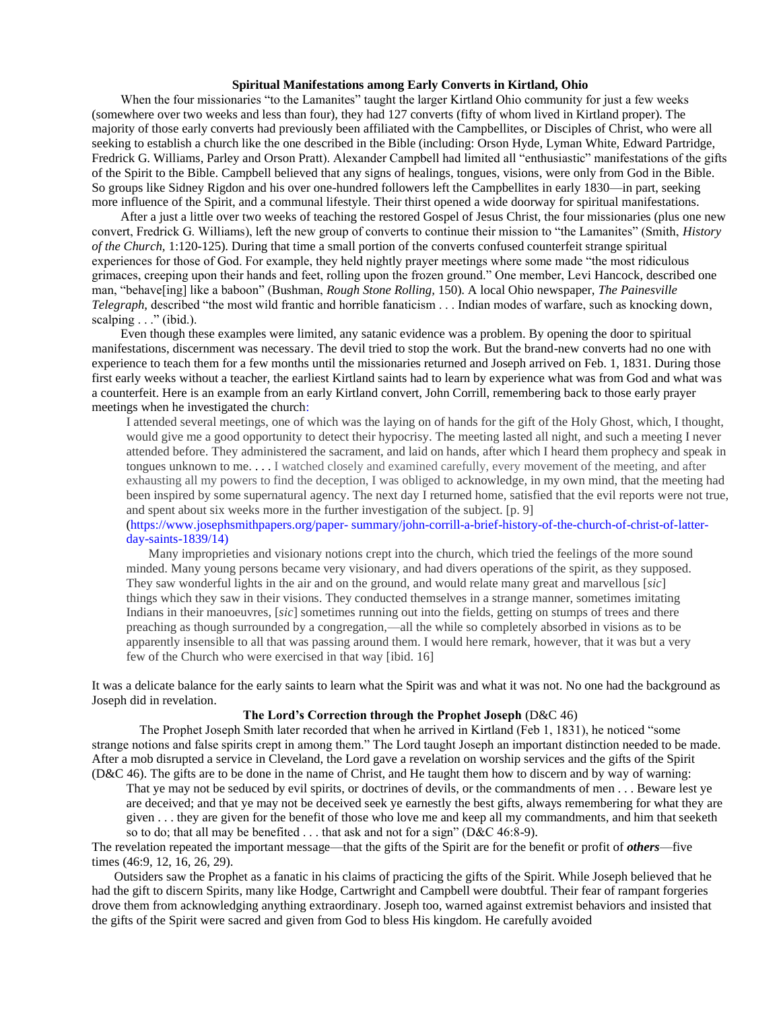## **Spiritual Manifestations among Early Converts in Kirtland, Ohio**

 When the four missionaries "to the Lamanites" taught the larger Kirtland Ohio community for just a few weeks (somewhere over two weeks and less than four), they had 127 converts (fifty of whom lived in Kirtland proper). The majority of those early converts had previously been affiliated with the Campbellites, or Disciples of Christ, who were all seeking to establish a church like the one described in the Bible (including: Orson Hyde, Lyman White, Edward Partridge, Fredrick G. Williams, Parley and Orson Pratt). Alexander Campbell had limited all "enthusiastic" manifestations of the gifts of the Spirit to the Bible. Campbell believed that any signs of healings, tongues, visions, were only from God in the Bible. So groups like Sidney Rigdon and his over one-hundred followers left the Campbellites in early 1830—in part, seeking more influence of the Spirit, and a communal lifestyle. Their thirst opened a wide doorway for spiritual manifestations.

 After a just a little over two weeks of teaching the restored Gospel of Jesus Christ, the four missionaries (plus one new convert, Fredrick G. Williams), left the new group of converts to continue their mission to "the Lamanites" (Smith, *History of the Church,* 1:120-125). During that time a small portion of the converts confused counterfeit strange spiritual experiences for those of God. For example, they held nightly prayer meetings where some made "the most ridiculous grimaces, creeping upon their hands and feet, rolling upon the frozen ground." One member, Levi Hancock, described one man, "behave[ing] like a baboon" (Bushman, *Rough Stone Rolling,* 150). A local Ohio newspaper, *The Painesville Telegraph,* described "the most wild frantic and horrible fanaticism . . . Indian modes of warfare, such as knocking down, scalping  $\ldots$ " (ibid.).

 Even though these examples were limited, any satanic evidence was a problem. By opening the door to spiritual manifestations, discernment was necessary. The devil tried to stop the work. But the brand-new converts had no one with experience to teach them for a few months until the missionaries returned and Joseph arrived on Feb. 1, 1831. During those first early weeks without a teacher, the earliest Kirtland saints had to learn by experience what was from God and what was a counterfeit. Here is an example from an early Kirtland convert, John Corrill, remembering back to those early prayer meetings when he investigated the church:

I attended several meetings, one of which was the laying on of hands for the gift of the Holy Ghost, which, I thought, would give me a good opportunity to detect their hypocrisy. The meeting lasted all night, and such a meeting I never attended before. They administered the sacrament, and laid on hands, after which I heard them prophecy and speak in tongues unknown to me. . . . I watched closely and examined carefully, every movement of the meeting, and after exhausting all my powers to find the deception, I was obliged to acknowledge, in my own mind, that the meeting had been inspired by some supernatural agency. The next day I returned home, satisfied that the evil reports were not true, and spent about six weeks more in the further investigation of the subject. [p. 9]

(https://www.josephsmithpapers.org/paper- summary/john-corrill-a-brief-history-of-the-church-of-christ-of-latterday-saints-1839/14)

 Many improprieties and visionary notions crept into the church, which tried the feelings of the more sound minded. Many young persons became very visionary, and had divers operations of the spirit, as they supposed. They saw wonderful lights in the air and on the ground, and would relate many great and marvellous [*sic*] things which they saw in their visions. They conducted themselves in a strange manner, sometimes imitating Indians in their manoeuvres, [*sic*] sometimes running out into the fields, getting on stumps of trees and there preaching as though surrounded by a congregation,—all the while so completely absorbed in visions as to be apparently insensible to all that was passing around them. I would here remark, however, that it was but a very few of the Church who were exercised in that way [ibid. 16]

It was a delicate balance for the early saints to learn what the Spirit was and what it was not. No one had the background as Joseph did in revelation.

## **The Lord's Correction through the Prophet Joseph** (D&C 46)

The Prophet Joseph Smith later recorded that when he arrived in Kirtland (Feb 1, 1831), he noticed "some strange notions and false spirits crept in among them." The Lord taught Joseph an important distinction needed to be made. After a mob disrupted a service in Cleveland, the Lord gave a revelation on worship services and the gifts of the Spirit (D&C 46). The gifts are to be done in the name of Christ, and He taught them how to discern and by way of warning:

That ye may not be seduced by evil spirits, or doctrines of devils, or the commandments of men . . . Beware lest ye are deceived; and that ye may not be deceived seek ye earnestly the best gifts, always remembering for what they are given . . . they are given for the benefit of those who love me and keep all my commandments, and him that seeketh so to do; that all may be benefited . . . that ask and not for a sign" (D&C 46:8-9).

The revelation repeated the important message—that the gifts of the Spirit are for the benefit or profit of *others*—five times (46:9, 12, 16, 26, 29).

 Outsiders saw the Prophet as a fanatic in his claims of practicing the gifts of the Spirit. While Joseph believed that he had the gift to discern Spirits, many like Hodge, Cartwright and Campbell were doubtful. Their fear of rampant forgeries drove them from acknowledging anything extraordinary. Joseph too, warned against extremist behaviors and insisted that the gifts of the Spirit were sacred and given from God to bless His kingdom. He carefully avoided